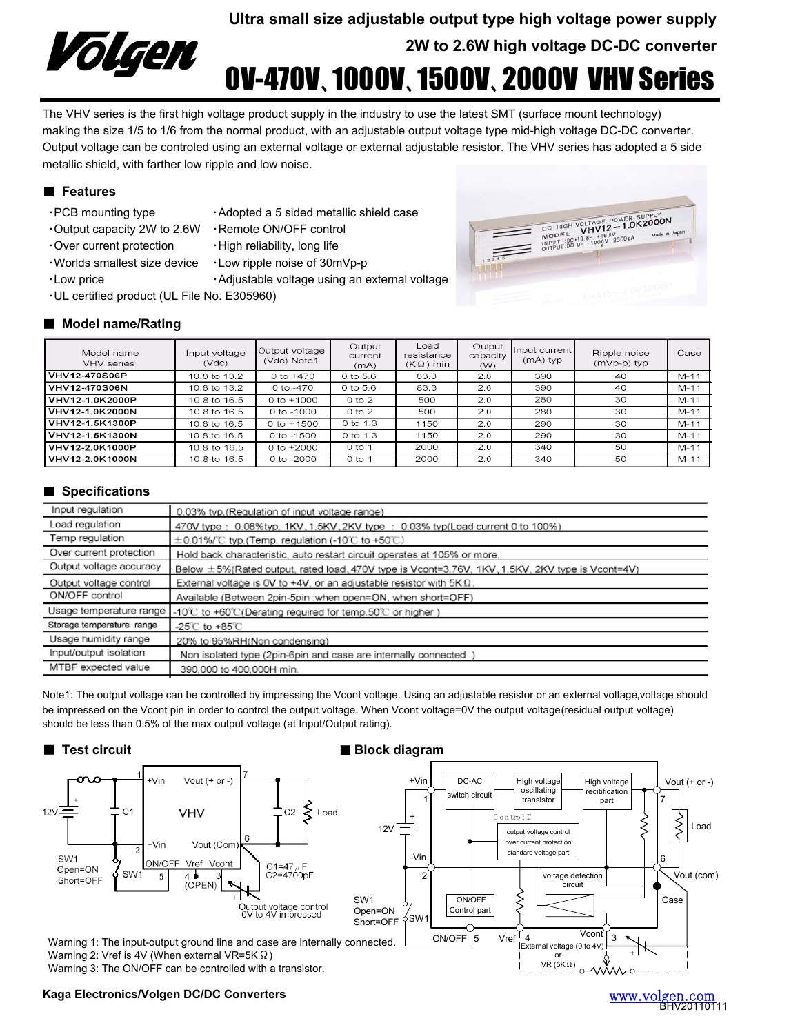

**Ultra small size adjustable output type high voltage power supply 2W to 2.6W high voltage DC-DC converter**

# 0V-470V、1000V、1500V、2000V VHV Series

The VHV series is the first high voltage product supply in the industry to use the latest SMT (surface mount technology) making the size 1/5 to 1/6 from the normal product, with an adjustable output voltage type mid-high voltage DC-DC converter. Output voltage can be controled using an external voltage or external adjustable resistor. The VHV series has adopted a 5 side metallic shield, with farther low ripple and low noise.

# ■ **Features**

- 
- ・Output capacity 2W to 2.6W ・Remote ON/OFF control
	-
- PCB mounting type Adopted a 5 sided metallic shield case
	-
- $\cdot$  Over current protection  $\cdot$  High reliability, long life
- ・Worlds smallest size device ・Low ripple noise of 30mVp-p
- 
- ・Low price ・Adjustable voltage using an external voltage
- ・UL certified product (UL File No. E305960)

# ■ **Model name/Rating**

| Model name<br>VHV series | Input voltage<br>$($ $Vdc)$ | Output voltage<br>(Vdc) Note1 | Output<br>current<br>(mA) | Load<br>resistance<br>$(K\Omega)$ min | Output<br>capacity<br>(W) | Input current<br>(mA) typ | Ripple noise<br>(mVp-p) typ | Case   |
|--------------------------|-----------------------------|-------------------------------|---------------------------|---------------------------------------|---------------------------|---------------------------|-----------------------------|--------|
| <b>VHV12-470S06P</b>     | 10.8 to 13.2                | 0 to $+470$                   | 0 to 5.6                  | 83.3                                  | 2.6                       | 390                       | 40                          | $M-11$ |
| <b>VHV12-470S06N</b>     | 10.8 to 13.2                | 0 to -470                     | 0 to 5.6                  | 83.3                                  | 2.6                       | 390                       | 40                          | $M-11$ |
| VHV12-1.0K2000P          | 10.8 to 16.5                | 0 to $+1000$                  | 0 to 2                    | 500                                   | 2.0                       | 280                       | 30                          | $M-11$ |
| VHV12-1.0K2000N          | 10.8 to 16.5                | $0$ to $-1000$                | $0$ to $2$                | 500                                   | 2.0                       | 280                       | 30                          | $M-11$ |
| VHV12-1.5K1300P          | 10.8 to 16.5                | 0 to $+1500$                  | 0 to 1.3                  | 1150                                  | 2.0                       | 290                       | 30                          | $M-11$ |
| VHV12-1.5K1300N          | 10.8 to 16.5                | 0 to $-1500$                  | 0 to 1.3                  | 1150                                  | 2.0                       | 290                       | 30                          | $M-11$ |
| VHV12-2.0K1000P          | 10.8 to 16.5                | 0 to $+2000$                  | $0$ to 1                  | 2000                                  | 2.0                       | 340                       | 50                          | $M-11$ |
| VHV12-2.0K1000N          | 10.8 to 16.5                | 0 to -2000                    | $0$ to 1                  | 2000                                  | 2.0                       | 340                       | 50                          | $M-11$ |

# ■ **Specifications**

| Input regulation          | 0.03% typ.(Regulation of input voltage range)                                                   |  |  |  |
|---------------------------|-------------------------------------------------------------------------------------------------|--|--|--|
| Load regulation           | 470V type: 0.08%typ, 1KV, 1.5KV, 2KV type: 0.03% typ(Load current 0 to 100%)                    |  |  |  |
| Temp regulation           | $\pm$ 0.01%/°C typ.(Temp. regulation (-10°C to +50°C)                                           |  |  |  |
| Over current protection   | Hold back characteristic, auto restart circuit operates at 105% or more.                        |  |  |  |
| Output voltage accuracy   | Below ±5%(Rated output, rated load, 470V type is Vcont=3.76V, 1KV, 1.5KV, 2KV type is Vcont=4V) |  |  |  |
| Output voltage control    | External voltage is OV to +4V, or an adjustable resistor with $5K\Omega$ .                      |  |  |  |
| ON/OFF control            | Available (Between 2pin-5pin : when open=ON, when short=OFF)                                    |  |  |  |
| Usage temperature range   | -10°C to +60°C(Derating required for temp.50°C or higher)                                       |  |  |  |
| Storage temperature range | -25 $\degree$ C to +85 $\degree$ C                                                              |  |  |  |
| Usage humidity range      | 20% to 95%RH(Non condensing)                                                                    |  |  |  |
| Input/output isolation    | Non isolated type (2pin-6pin and case are internally connected .)                               |  |  |  |
| MTBF expected value       | 390,000 to 400,000H min.                                                                        |  |  |  |

Note1: The output voltage can be controlled by impressing the Vcont voltage. Using an adjustable resistor or an external voltage,voltage should be impressed on the Vcont pin in order to control the output voltage. When Vcont voltage=0V the output voltage(residual output voltage) should be less than 0.5% of the max output voltage (at Input/Output rating).



### **Kaga Electronics/Volgen DC/DC Converters**



| www.volgen.com |
|----------------|
| BHV20110111    |